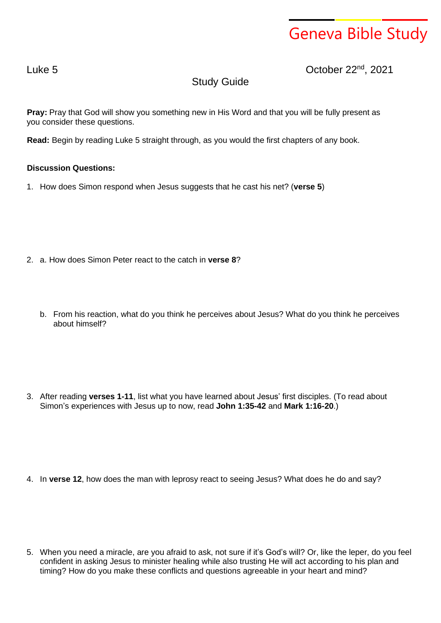## Geneva Bible Study

Luke 5 October 22nd , 2021

## Study Guide

**Pray:** Pray that God will show you something new in His Word and that you will be fully present as you consider these questions.

**Read:** Begin by reading Luke 5 straight through, as you would the first chapters of any book.

## **Discussion Questions:**

1. How does Simon respond when Jesus suggests that he cast his net? (**verse 5**)

- 2. a. How does Simon Peter react to the catch in **verse 8**?
	- b. From his reaction, what do you think he perceives about Jesus? What do you think he perceives about himself?
- 3. After reading **verses 1-11**, list what you have learned about Jesus' first disciples. (To read about Simon's experiences with Jesus up to now, read **John 1:35-42** and **Mark 1:16-20**.)

4. In **verse 12**, how does the man with leprosy react to seeing Jesus? What does he do and say?

5. When you need a miracle, are you afraid to ask, not sure if it's God's will? Or, like the leper, do you feel confident in asking Jesus to minister healing while also trusting He will act according to his plan and timing? How do you make these conflicts and questions agreeable in your heart and mind?